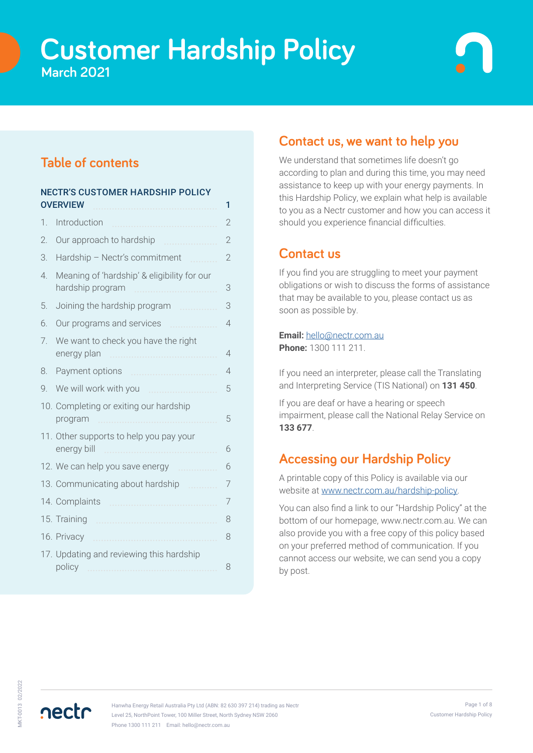# **Customer Hardship Policy March 2021**

# **Table of contents**

| <b>NECTR'S CUSTOMER HARDSHIP POLICY</b> |                                                                      |                |
|-----------------------------------------|----------------------------------------------------------------------|----------------|
|                                         | <b>OVERVIEW</b>                                                      | 1              |
| 1.                                      | Introduction                                                         | 2              |
| 2.                                      | Our approach to hardship                                             | 2              |
| 3.                                      | Hardship - Nectr's commitment                                        | $\overline{2}$ |
| $\overline{4}$                          | Meaning of 'hardship' & eligibility for our<br>hardship program<br>. | 3              |
| 5.                                      | Joining the hardship program                                         | 3              |
| 6.                                      | Our programs and services                                            | $\overline{4}$ |
| 7.                                      | We want to check you have the right<br>energy plan                   | 4              |
| 8.                                      | Payment options                                                      | $\overline{4}$ |
| 9.                                      | We will work with you<br>.                                           | 5              |
|                                         | 10. Completing or exiting our hardship<br>program                    | 5              |
|                                         | 11. Other supports to help you pay your<br>energy bill<br>.          | 6              |
|                                         | 12. We can help you save energy<br>.                                 | 6              |
|                                         | 13. Communicating about hardship                                     | 7              |
|                                         | 14. Complaints                                                       | 7              |
|                                         | 15. Training                                                         | 8              |
|                                         | 16. Privacy<br>.                                                     | 8              |
|                                         | 17. Updating and reviewing this hardship<br>policy                   | 8              |

## **Contact us, we want to help you**

We understand that sometimes life doesn't go according to plan and during this time, you may need assistance to keep up with your energy payments. In this Hardship Policy, we explain what help is available to you as a Nectr customer and how you can access it should you experience financial difficulties.

### **Contact us**

If you find you are struggling to meet your payment obligations or wish to discuss the forms of assistance that may be available to you, please contact us as soon as possible by.

#### **Email:** [hello@nectr.com.au](mailto:hello%40nectr.com.au?subject=) **Phone:** 1300 111 211.

If you need an interpreter, please call the Translating and Interpreting Service (TIS National) on **131 450**.

If you are deaf or have a hearing or speech impairment, please call the National Relay Service on **133 677**.

# **Accessing our Hardship Policy**

A printable copy of this Policy is available via our website at [www.nectr.com.au/hardship-policy](http://www.nectr.com.au/hardship-policy).

You can also find a link to our "Hardship Policy" at the bottom of our homepage, www.nectr.com.au. We can also provide you with a free copy of this policy based on your preferred method of communication. If you cannot access our website, we can send you a copy by post.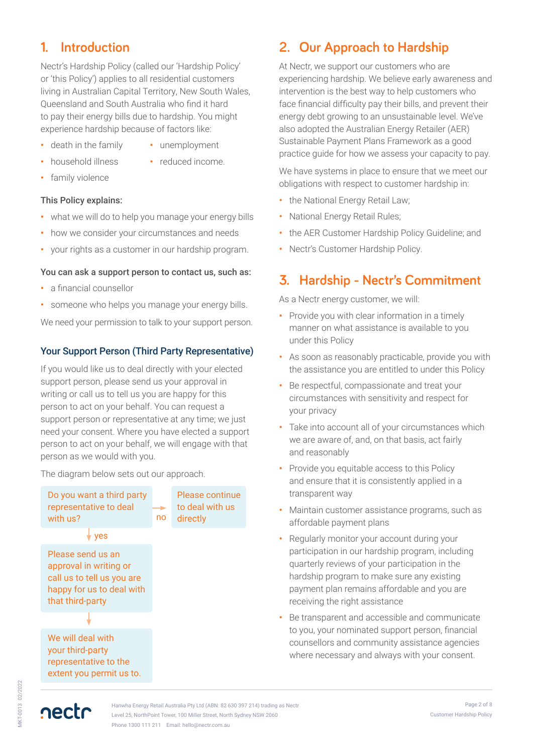# **1. Introduction**

Nectr's Hardship Policy (called our 'Hardship Policy' or 'this Policy') applies to all residential customers living in Australian Capital Territory, New South Wales, Queensland and South Australia who find it hard to pay their energy bills due to hardship. You might experience hardship because of factors like:

- **•** death in the family
- **•** unemployment
- **•** household illness
- **•** reduced income.
- **•** family violence

### This Policy explains:

- **•** what we will do to help you manage your energy bills
- **•** how we consider your circumstances and needs
- **•** your rights as a customer in our hardship program.

### You can ask a support person to contact us, such as:

- **•** a financial counsellor
- **•** someone who helps you manage your energy bills.

We need your permission to talk to your support person.

### Your Support Person (Third Party Representative)

If you would like us to deal directly with your elected support person, please send us your approval in writing or call us to tell us you are happy for this person to act on your behalf. You can request a support person or representative at any time; we just need your consent. Where you have elected a support person to act on your behalf, we will engage with that person as we would with you.

The diagram below sets out our approach.



# **2. Our Approach to Hardship**

At Nectr, we support our customers who are experiencing hardship. We believe early awareness and intervention is the best way to help customers who face financial difficulty pay their bills, and prevent their energy debt growing to an unsustainable level. We've also adopted the Australian Energy Retailer (AER) Sustainable Payment Plans Framework as a good practice guide for how we assess your capacity to pay.

We have systems in place to ensure that we meet our obligations with respect to customer hardship in:

- **•** the National Energy Retail Law;
- **•** National Energy Retail Rules;
- **•** the AER Customer Hardship Policy Guideline; and
- **•** Nectr's Customer Hardship Policy.

# **3. Hardship - Nectr's Commitment**

As a Nectr energy customer, we will:

- **•** Provide you with clear information in a timely manner on what assistance is available to you under this Policy
- **•** As soon as reasonably practicable, provide you with the assistance you are entitled to under this Policy
- **•** Be respectful, compassionate and treat your circumstances with sensitivity and respect for your privacy
- **•** Take into account all of your circumstances which we are aware of, and, on that basis, act fairly and reasonably
- **•** Provide you equitable access to this Policy and ensure that it is consistently applied in a transparent way
- **•** Maintain customer assistance programs, such as affordable payment plans
- **•** Regularly monitor your account during your participation in our hardship program, including quarterly reviews of your participation in the hardship program to make sure any existing payment plan remains affordable and you are receiving the right assistance
- **•** Be transparent and accessible and communicate to you, your nominated support person, financial counsellors and community assistance agencies where necessary and always with your consent.

**AKT-0013 02/2022** MKT-0013 02/2022

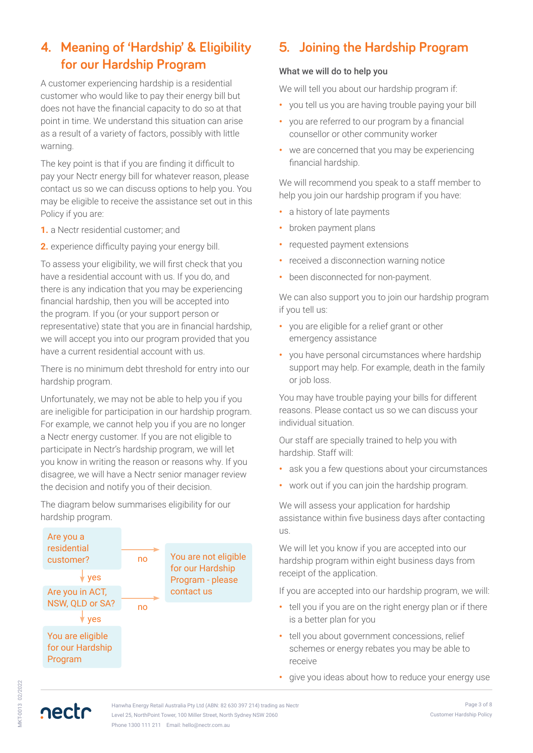# **4. Meaning of 'Hardship' & Eligibility for our Hardship Program**

A customer experiencing hardship is a residential customer who would like to pay their energy bill but does not have the financial capacity to do so at that point in time. We understand this situation can arise as a result of a variety of factors, possibly with little warning.

The key point is that if you are finding it difficult to pay your Nectr energy bill for whatever reason, please contact us so we can discuss options to help you. You may be eligible to receive the assistance set out in this Policy if you are:

- **1.** a Nectr residential customer; and
- **2.** experience difficulty paying your energy bill.

To assess your eligibility, we will first check that you have a residential account with us. If you do, and there is any indication that you may be experiencing financial hardship, then you will be accepted into the program. If you (or your support person or representative) state that you are in financial hardship, we will accept you into our program provided that you have a current residential account with us.

There is no minimum debt threshold for entry into our hardship program.

Unfortunately, we may not be able to help you if you are ineligible for participation in our hardship program. For example, we cannot help you if you are no longer a Nectr energy customer. If you are not eligible to participate in Nectr's hardship program, we will let you know in writing the reason or reasons why. If you disagree, we will have a Nectr senior manager review the decision and notify you of their decision.

The diagram below summarises eligibility for our hardship program.



# **5. Joining the Hardship Program**

#### What we will do to help you

We will tell you about our hardship program if:

- **•** you tell us you are having trouble paying your bill
- **•** you are referred to our program by a financial counsellor or other community worker
- **•** we are concerned that you may be experiencing financial hardship.

We will recommend you speak to a staff member to help you join our hardship program if you have:

- **•** a history of late payments
- **•** broken payment plans
- **•** requested payment extensions
- **•** received a disconnection warning notice
- **•** been disconnected for non-payment.

We can also support you to join our hardship program if you tell us:

- **•** you are eligible for a relief grant or other emergency assistance
- **•** you have personal circumstances where hardship support may help. For example, death in the family or job loss.

You may have trouble paying your bills for different reasons. Please contact us so we can discuss your individual situation.

Our staff are specially trained to help you with hardship. Staff will:

- **•** ask you a few questions about your circumstances
- **•** work out if you can join the hardship program.

We will assess your application for hardship assistance within five business days after contacting us.

We will let you know if you are accepted into our hardship program within eight business days from receipt of the application.

If you are accepted into our hardship program, we will:

- **•** tell you if you are on the right energy plan or if there is a better plan for you
- **•** tell you about government concessions, relief schemes or energy rebates you may be able to receive
- **•** give you ideas about how to reduce your energy use

nectr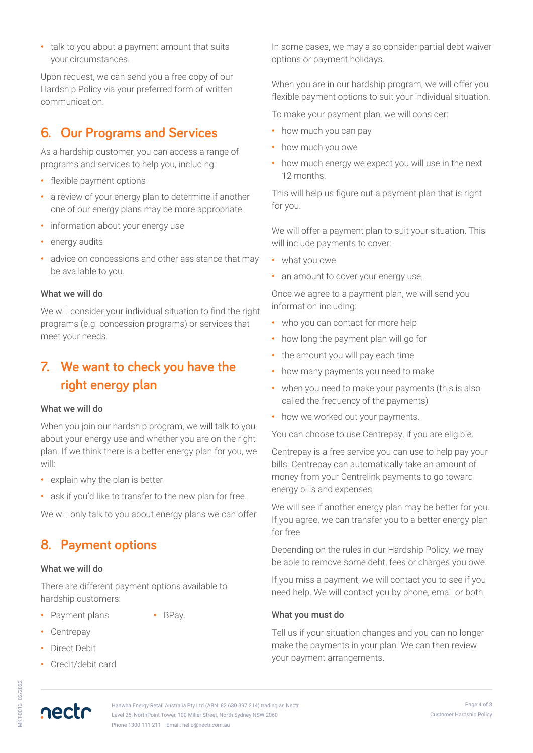**•** talk to you about a payment amount that suits your circumstances.

Upon request, we can send you a free copy of our Hardship Policy via your preferred form of written communication.

# **6. Our Programs and Services**

As a hardship customer, you can access a range of programs and services to help you, including:

- **•** flexible payment options
- **•** a review of your energy plan to determine if another one of our energy plans may be more appropriate
- **•** information about your energy use
- **•** energy audits
- **•** advice on concessions and other assistance that may be available to you.

#### What we will do

We will consider your individual situation to find the right programs (e.g. concession programs) or services that meet your needs.

# **7. We want to check you have the right energy plan**

### What we will do

When you join our hardship program, we will talk to you about your energy use and whether you are on the right plan. If we think there is a better energy plan for you, we will:

- **•** explain why the plan is better
- **•** ask if you'd like to transfer to the new plan for free.

We will only talk to you about energy plans we can offer.

## **8. Payment options**

#### What we will do

There are different payment options available to hardship customers:

- **•** Payment plans
- **•** BPay.
- **•** Centrepay
- **•** Direct Debit
- **•** Credit/debit card

In some cases, we may also consider partial debt waiver options or payment holidays.

When you are in our hardship program, we will offer you flexible payment options to suit your individual situation.

To make your payment plan, we will consider:

- **•** how much you can pay
- **•** how much you owe
- **•** how much energy we expect you will use in the next 12 months.

This will help us figure out a payment plan that is right for you.

We will offer a payment plan to suit your situation. This will include payments to cover:

- **•** what you owe
- **•** an amount to cover your energy use.

Once we agree to a payment plan, we will send you information including:

- **•** who you can contact for more help
- **•** how long the payment plan will go for
- **•** the amount you will pay each time
- **•** how many payments you need to make
- **•** when you need to make your payments (this is also called the frequency of the payments)
- **•** how we worked out your payments.

You can choose to use Centrepay, if you are eligible.

Centrepay is a free service you can use to help pay your bills. Centrepay can automatically take an amount of money from your Centrelink payments to go toward energy bills and expenses.

We will see if another energy plan may be better for you. If you agree, we can transfer you to a better energy plan for free.

Depending on the rules in our Hardship Policy, we may be able to remove some debt, fees or charges you owe.

If you miss a payment, we will contact you to see if you need help. We will contact you by phone, email or both.

### What you must do

Tell us if your situation changes and you can no longer make the payments in your plan. We can then review your payment arrangements.

AKT-0013 02/2022 MKT-0013 02/2022

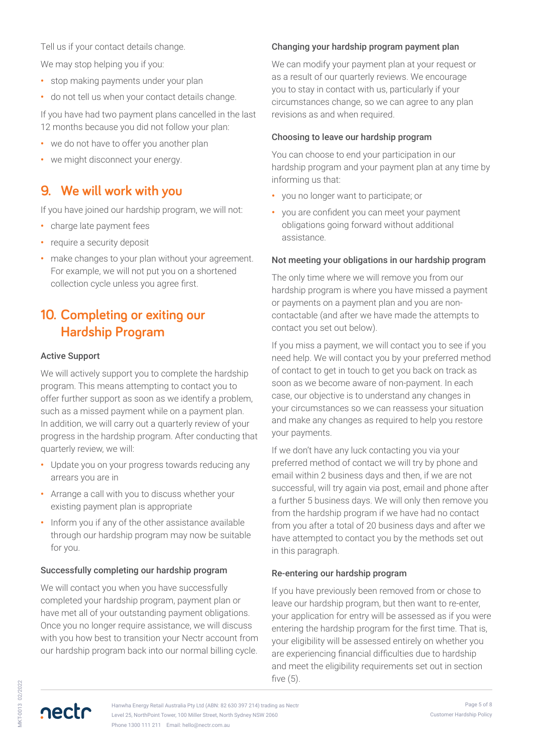Tell us if your contact details change.

We may stop helping you if you:

- **•** stop making payments under your plan
- **•** do not tell us when your contact details change.

If you have had two payment plans cancelled in the last 12 months because you did not follow your plan:

- **•** we do not have to offer you another plan
- **•** we might disconnect your energy.

## **9. We will work with you**

If you have joined our hardship program, we will not:

- **•** charge late payment fees
- **•** require a security deposit
- **•** make changes to your plan without your agreement. For example, we will not put you on a shortened collection cycle unless you agree first.

# **10. Completing or exiting our Hardship Program**

### Active Support

We will actively support you to complete the hardship program. This means attempting to contact you to offer further support as soon as we identify a problem, such as a missed payment while on a payment plan. In addition, we will carry out a quarterly review of your progress in the hardship program. After conducting that quarterly review, we will:

- **•** Update you on your progress towards reducing any arrears you are in
- **•** Arrange a call with you to discuss whether your existing payment plan is appropriate
- **•** Inform you if any of the other assistance available through our hardship program may now be suitable for you.

### Successfully completing our hardship program

We will contact you when you have successfully completed your hardship program, payment plan or have met all of your outstanding payment obligations. Once you no longer require assistance, we will discuss with you how best to transition your Nectr account from our hardship program back into our normal billing cycle.

### Changing your hardship program payment plan

We can modify your payment plan at your request or as a result of our quarterly reviews. We encourage you to stay in contact with us, particularly if your circumstances change, so we can agree to any plan revisions as and when required.

### Choosing to leave our hardship program

You can choose to end your participation in our hardship program and your payment plan at any time by informing us that:

- **•** you no longer want to participate; or
- **•** you are confident you can meet your payment obligations going forward without additional assistance.

### Not meeting your obligations in our hardship program

The only time where we will remove you from our hardship program is where you have missed a payment or payments on a payment plan and you are noncontactable (and after we have made the attempts to contact you set out below).

If you miss a payment, we will contact you to see if you need help. We will contact you by your preferred method of contact to get in touch to get you back on track as soon as we become aware of non-payment. In each case, our objective is to understand any changes in your circumstances so we can reassess your situation and make any changes as required to help you restore your payments.

If we don't have any luck contacting you via your preferred method of contact we will try by phone and email within 2 business days and then, if we are not successful, will try again via post, email and phone after a further 5 business days. We will only then remove you from the hardship program if we have had no contact from you after a total of 20 business days and after we have attempted to contact you by the methods set out in this paragraph.

### Re-entering our hardship program

If you have previously been removed from or chose to leave our hardship program, but then want to re-enter, your application for entry will be assessed as if you were entering the hardship program for the first time. That is, your eligibility will be assessed entirely on whether you are experiencing financial difficulties due to hardship and meet the eligibility requirements set out in section five (5).

AKT-0013 02/2022 MKT-0013 02/2022

nectr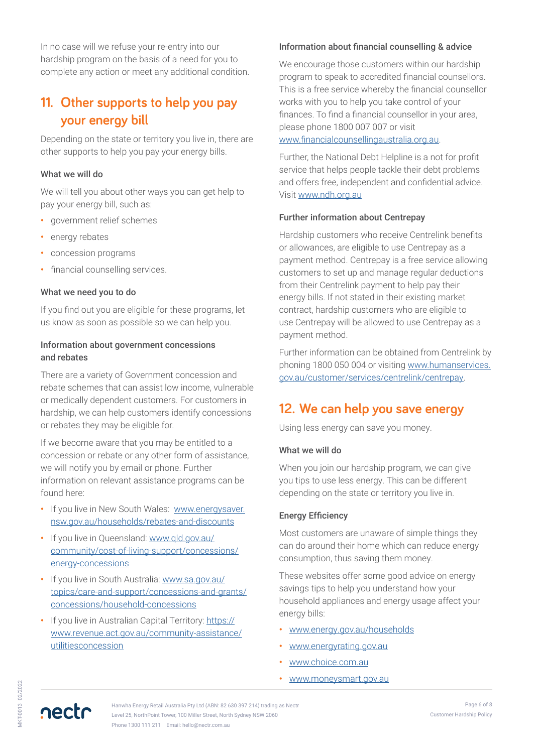In no case will we refuse your re-entry into our hardship program on the basis of a need for you to complete any action or meet any additional condition.

# **11. Other supports to help you pay your energy bill**

Depending on the state or territory you live in, there are other supports to help you pay your energy bills.

#### What we will do

We will tell you about other ways you can get help to pay your energy bill, such as:

- **•** government relief schemes
- **•** energy rebates
- **•** concession programs
- **•** financial counselling services.

### What we need you to do

If you find out you are eligible for these programs, let us know as soon as possible so we can help you.

#### Information about government concessions and rebates

There are a variety of Government concession and rebate schemes that can assist low income, vulnerable or medically dependent customers. For customers in hardship, we can help customers identify concessions or rebates they may be eligible for.

If we become aware that you may be entitled to a concession or rebate or any other form of assistance, we will notify you by email or phone. Further information on relevant assistance programs can be found here:

- **•** If you live in New South Wales: [www.energysaver.](http://www.energysaver.nsw.gov.au/households/rebates-and-discounts) [nsw.gov.au/households/rebates-and-discounts](http://www.energysaver.nsw.gov.au/households/rebates-and-discounts)
- **•** If you live in Queensland: [www.qld.gov.au/](http://www.qld.gov.au/community/cost-of-living-support/concessions/energy-concessions) [community/cost-of-living-support/concessions/](http://www.qld.gov.au/community/cost-of-living-support/concessions/energy-concessions) [energy-concessions](http://www.qld.gov.au/community/cost-of-living-support/concessions/energy-concessions)
- **•** If you live in South Australia: [www.sa.gov.au/](https://www.sa.gov.au/topics/care-and-support/concessions-and-grants/concessions/household-concessions) [topics/care-and-support/concessions-and-grants/](https://www.sa.gov.au/topics/care-and-support/concessions-and-grants/concessions/household-concessions) [concessions/household-concessions](https://www.sa.gov.au/topics/care-and-support/concessions-and-grants/concessions/household-concessions)
- **•** If you live in Australian Capital Territory: [https://](https://www.revenue.act.gov.au/community-assistance/utilitiesconcession) [www.revenue.act.gov.au/community-assistance/](https://www.revenue.act.gov.au/community-assistance/utilitiesconcession) [utilitiesconcession](https://www.revenue.act.gov.au/community-assistance/utilitiesconcession)

#### Information about financial counselling & advice

We encourage those customers within our hardship program to speak to accredited financial counsellors. This is a free service whereby the financial counsellor works with you to help you take control of your finances. To find a financial counsellor in your area, please phone 1800 007 007 or visit <www.financialcounsellingaustralia.org.au>.

Further, the National Debt Helpline is a not for profit service that helps people tackle their debt problems and offers free, independent and confidential advice. Visit [www.ndh.org.au](http://www.ndh.org.au)

### Further information about Centrepay

Hardship customers who receive Centrelink benefits or allowances, are eligible to use Centrepay as a payment method. Centrepay is a free service allowing customers to set up and manage regular deductions from their Centrelink payment to help pay their energy bills. If not stated in their existing market contract, hardship customers who are eligible to use Centrepay will be allowed to use Centrepay as a payment method.

Further information can be obtained from Centrelink by phoning 1800 050 004 or visiting [www.humanservices.](http://www.humanservices.gov.au/customer/services/centrelink/centrepay) [gov.au/customer/services/centrelink/centrepay.](http://www.humanservices.gov.au/customer/services/centrelink/centrepay)

### **12. We can help you save energy**

Using less energy can save you money.

#### What we will do

When you join our hardship program, we can give you tips to use less energy. This can be different depending on the state or territory you live in.

### Energy Efficiency

Most customers are unaware of simple things they can do around their home which can reduce energy consumption, thus saving them money.

These websites offer some good advice on energy savings tips to help you understand how your household appliances and energy usage affect your energy bills:

- **•** [www.energy.gov.au/households](http://www.energy.gov.au/households)
- **•** [www.energyrating.gov.au](http://www.energyrating.gov.au)
- **•** [www.choice.com.au](http://www.choice.com.au)
- **•** [www.moneysmart.gov.au](http://www.moneysmart.gov.au)

Hanwha Energy Retail Australia Pty Ltd (ABN: 82 630 397 214) trading as Nectr Level 25, NorthPoint Tower, 100 Miller Street, North Sydney NSW 2060 Phone 1300 111 211 Email: hello@nectr.com.au

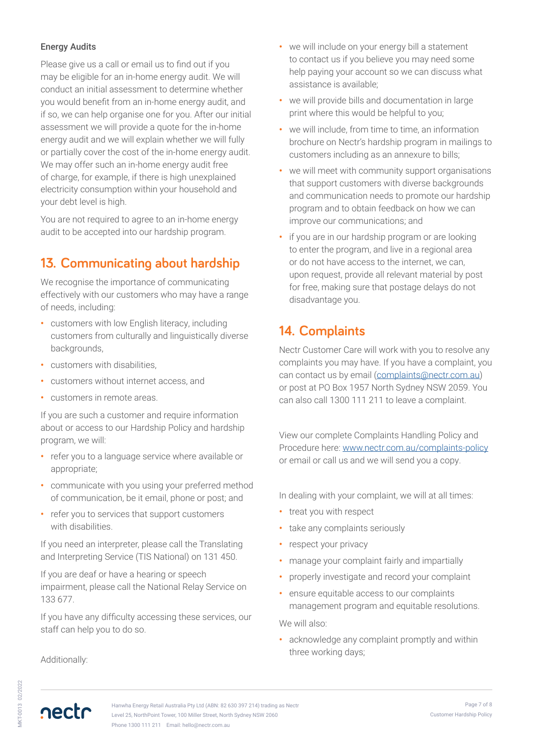### Energy Audits

Please give us a call or email us to find out if you may be eligible for an in-home energy audit. We will conduct an initial assessment to determine whether you would benefit from an in-home energy audit, and if so, we can help organise one for you. After our initial assessment we will provide a quote for the in-home energy audit and we will explain whether we will fully or partially cover the cost of the in-home energy audit. We may offer such an in-home energy audit free of charge, for example, if there is high unexplained electricity consumption within your household and your debt level is high.

You are not required to agree to an in-home energy audit to be accepted into our hardship program.

# **13. Communicating about hardship**

We recognise the importance of communicating effectively with our customers who may have a range of needs, including:

- **•** customers with low English literacy, including customers from culturally and linguistically diverse backgrounds,
- **•** customers with disabilities,
- **•** customers without internet access, and
- **•** customers in remote areas.

If you are such a customer and require information about or access to our Hardship Policy and hardship program, we will:

- **•** refer you to a language service where available or appropriate;
- **•** communicate with you using your preferred method of communication, be it email, phone or post; and
- **•** refer you to services that support customers with disabilities.

If you need an interpreter, please call the Translating and Interpreting Service (TIS National) on 131 450.

If you are deaf or have a hearing or speech impairment, please call the National Relay Service on 133 677.

If you have any difficulty accessing these services, our staff can help you to do so.

Additionally:

- **•** we will include on your energy bill a statement to contact us if you believe you may need some help paying your account so we can discuss what assistance is available;
- **•** we will provide bills and documentation in large print where this would be helpful to you;
- **•** we will include, from time to time, an information brochure on Nectr's hardship program in mailings to customers including as an annexure to bills;
- **•** we will meet with community support organisations that support customers with diverse backgrounds and communication needs to promote our hardship program and to obtain feedback on how we can improve our communications; and
- **•** if you are in our hardship program or are looking to enter the program, and live in a regional area or do not have access to the internet, we can, upon request, provide all relevant material by post for free, making sure that postage delays do not disadvantage you.

# **14. Complaints**

Nectr Customer Care will work with you to resolve any complaints you may have. If you have a complaint, you can contact us by email [\(complaints@nectr.com.au\)](mailto:complaints%40nectr.com.au?subject=) or post at PO Box 1957 North Sydney NSW 2059. You can also call 1300 111 211 to leave a complaint.

View our complete Complaints Handling Policy and Procedure here: [www.nectr.com.au/complaints-policy](http://www.nectr.com.au/complaints-policy/) or email or call us and we will send you a copy.

In dealing with your complaint, we will at all times:

- **•** treat you with respect
- **•** take any complaints seriously
- **•** respect your privacy
- **•** manage your complaint fairly and impartially
- **•** properly investigate and record your complaint
- **•** ensure equitable access to our complaints management program and equitable resolutions.

We will also:

**•** acknowledge any complaint promptly and within three working days;

nectr

MKT-0013 02/2022

AKT-0013 02/2022